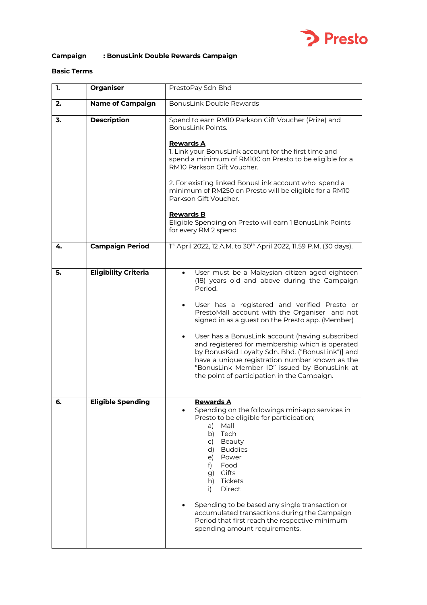

# **Campaign : BonusLink Double Rewards Campaign**

## **Basic Terms**

| 1. | <b>Organiser</b>            | PrestoPay Sdn Bhd                                                                                                                                                                                                                                                                                                                                                                                                                                                                                                                                                                      |
|----|-----------------------------|----------------------------------------------------------------------------------------------------------------------------------------------------------------------------------------------------------------------------------------------------------------------------------------------------------------------------------------------------------------------------------------------------------------------------------------------------------------------------------------------------------------------------------------------------------------------------------------|
| 2. | <b>Name of Campaign</b>     | <b>BonusLink Double Rewards</b>                                                                                                                                                                                                                                                                                                                                                                                                                                                                                                                                                        |
| 3. | <b>Description</b>          | Spend to earn RM10 Parkson Gift Voucher (Prize) and<br><b>Bonusl ink Points.</b><br><b>Rewards A</b><br>1. Link your BonusLink account for the first time and<br>spend a minimum of RM100 on Presto to be eligible for a<br>RM10 Parkson Gift Voucher.<br>2. For existing linked BonusLink account who spend a<br>minimum of RM250 on Presto will be eligible for a RM10<br>Parkson Gift Voucher.<br><b>Rewards B</b><br>Eligible Spending on Presto will earn 1 BonusLink Points<br>for every RM 2 spend                                                                              |
| 4. | <b>Campaign Period</b>      | 1st April 2022, 12 A.M. to 30 <sup>th</sup> April 2022, 11.59 P.M. (30 days).                                                                                                                                                                                                                                                                                                                                                                                                                                                                                                          |
| 5. | <b>Eligibility Criteria</b> | User must be a Malaysian citizen aged eighteen<br>$\bullet$<br>(18) years old and above during the Campaign<br>Period.<br>User has a registered and verified Presto or<br>PrestoMall account with the Organiser and not<br>signed in as a guest on the Presto app. (Member)<br>User has a BonusLink account (having subscribed<br>and registered for membership which is operated<br>by BonusKad Loyalty Sdn. Bhd. ("BonusLink")] and<br>have a unique registration number known as the<br>"BonusLink Member ID" issued by BonusLink at<br>the point of participation in the Campaign. |
| 6. | <b>Eligible Spending</b>    | <u>Rewards A</u><br>Spending on the followings mini-app services in<br>Presto to be eligible for participation;<br>Mall<br>a)<br>Tech<br>b)<br>Beauty<br>C)<br>d) Buddies<br>Power<br>e)<br>Food<br>f)<br>g) Gifts<br>h) Tickets<br>Direct<br>i)<br>Spending to be based any single transaction or<br>accumulated transactions during the Campaign<br>Period that first reach the respective minimum<br>spending amount requirements.                                                                                                                                                  |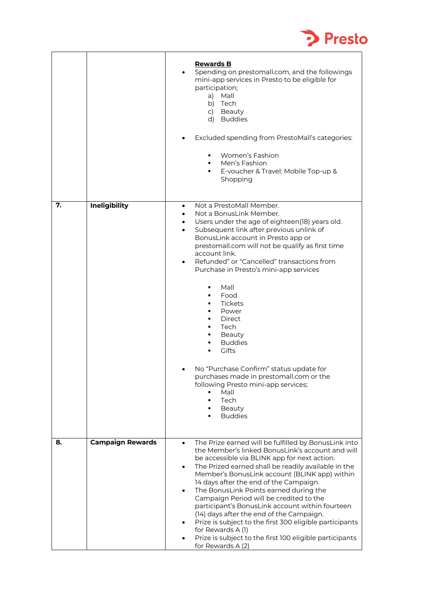

|    |                         | <b>Rewards B</b><br>Spending on prestomall.com, and the followings<br>mini-app services in Presto to be eligible for<br>participation;<br>a)<br>Mall<br>b) Tech<br>c) Beauty<br>d) Buddies<br>Excluded spending from PrestoMall's categories:<br>Women's Fashion<br>Men's Fashion<br>E-voucher & Travel: Mobile Top-up &<br>Shopping                                                                                                                                                                                                                                                                                                                                                                  |
|----|-------------------------|-------------------------------------------------------------------------------------------------------------------------------------------------------------------------------------------------------------------------------------------------------------------------------------------------------------------------------------------------------------------------------------------------------------------------------------------------------------------------------------------------------------------------------------------------------------------------------------------------------------------------------------------------------------------------------------------------------|
| 7. | Ineligibility           | Not a PrestoMall Member.<br>$\bullet$<br>Not a BonusLink Member.<br>Users under the age of eighteen(18) years old.<br>Subsequent link after previous unlink of<br>BonusLink account in Presto app or<br>prestomall.com will not be qualify as first time<br>account link.<br>Refunded" or "Cancelled" transactions from<br>٠<br>Purchase in Presto's mini-app services<br>Mall<br>٠<br>Food<br><b>Tickets</b><br>Power<br>Direct<br>Tech<br>Beauty<br><b>Buddies</b><br>Gifts<br>No "Purchase Confirm" status update for<br>purchases made in prestomall.com or the<br>following Presto mini-app services;<br>Mall<br>Tech<br>Beauty<br><b>Buddies</b>                                                |
| 8. | <b>Campaign Rewards</b> | The Prize earned will be fulfilled by BonusLink into<br>$\bullet$<br>the Member's linked BonusLink's account and will<br>be accessible via BLINK app for next action.<br>The Prized earned shall be readily available in the<br>$\bullet$<br>Member's BonusLink account (BLINK app) within<br>14 days after the end of the Campaign.<br>The BonusLink Points earned during the<br>$\bullet$<br>Campaign Period will be credited to the<br>participant's BonusLink account within fourteen<br>(14) days after the end of the Campaign.<br>Prize is subject to the first 300 eligible participants<br>for Rewards A (1)<br>Prize is subject to the first 100 eligible participants<br>for Rewards A (2) |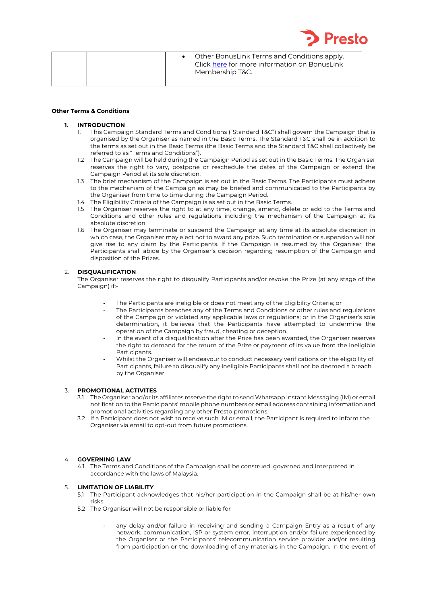

| Membership T&C. |
|-----------------|
|-----------------|

#### **Other Terms & Conditions**

#### **1. INTRODUCTION**

- 1.1 This Campaign Standard Terms and Conditions ("Standard T&C") shall govern the Campaign that is organised by the Organiser as named in the Basic Terms. The Standard T&C shall be in addition to the terms as set out in the Basic Terms (the Basic Terms and the Standard T&C shall collectively be referred to as "Terms and Conditions").
- 1.2 The Campaign will be held during the Campaign Period as set out in the Basic Terms. The Organiser reserves the right to vary, postpone or reschedule the dates of the Campaign or extend the Campaign Period at its sole discretion.
- 1.3 The brief mechanism of the Campaign is set out in the Basic Terms. The Participants must adhere to the mechanism of the Campaign as may be briefed and communicated to the Participants by the Organiser from time to time during the Campaign Period.
- 1.4 The Eligibility Criteria of the Campaign is as set out in the Basic Terms.
- 1.5 The Organiser reserves the right to at any time, change, amend, delete or add to the Terms and Conditions and other rules and regulations including the mechanism of the Campaign at its absolute discretion.
- 1.6 The Organiser may terminate or suspend the Campaign at any time at its absolute discretion in which case, the Organiser may elect not to award any prize. Such termination or suspension will not give rise to any claim by the Participants. If the Campaign is resumed by the Organiser, the Participants shall abide by the Organiser's decision regarding resumption of the Campaign and disposition of the Prizes.

## 2. **DISQUALIFICATION**

The Organiser reserves the right to disqualify Participants and/or revoke the Prize (at any stage of the Campaign) if:-

- The Participants are ineligible or does not meet any of the Eligibility Criteria; or
- The Participants breaches any of the Terms and Conditions or other rules and regulations of the Campaign or violated any applicable laws or regulations; or in the Organiser's sole determination, it believes that the Participants have attempted to undermine the operation of the Campaign by fraud, cheating or deception.
- In the event of a disqualification after the Prize has been awarded, the Organiser reserves the right to demand for the return of the Prize or payment of its value from the ineligible Participants.
- Whilst the Organiser will endeavour to conduct necessary verifications on the eligibility of Participants, failure to disqualify any ineligible Participants shall not be deemed a breach by the Organiser.

## 3. **PROMOTIONAL ACTIVITES**

- 3.1 The Organiser and/or its affiliates reserve the right to send Whatsapp Instant Messaging (IM) or email notification to the Participants' mobile phone numbers or email address containing information and promotional activities regarding any other Presto promotions.
- 3.2 If a Participant does not wish to receive such IM or email, the Participant is required to inform the Organiser via email to opt-out from future promotions.

## 4. **GOVERNING LAW**

4.1 The Terms and Conditions of the Campaign shall be construed, governed and interpreted in accordance with the laws of Malaysia.

### 5. **LIMITATION OF LIABILITY**

- 5.1 The Participant acknowledges that his/her participation in the Campaign shall be at his/her own risks.
- 5.2 The Organiser will not be responsible or liable for
	- any delay and/or failure in receiving and sending a Campaign Entry as a result of any network, communication, ISP or system error, interruption and/or failure experienced by the Organiser or the Participants' telecommunication service provider and/or resulting from participation or the downloading of any materials in the Campaign. In the event of